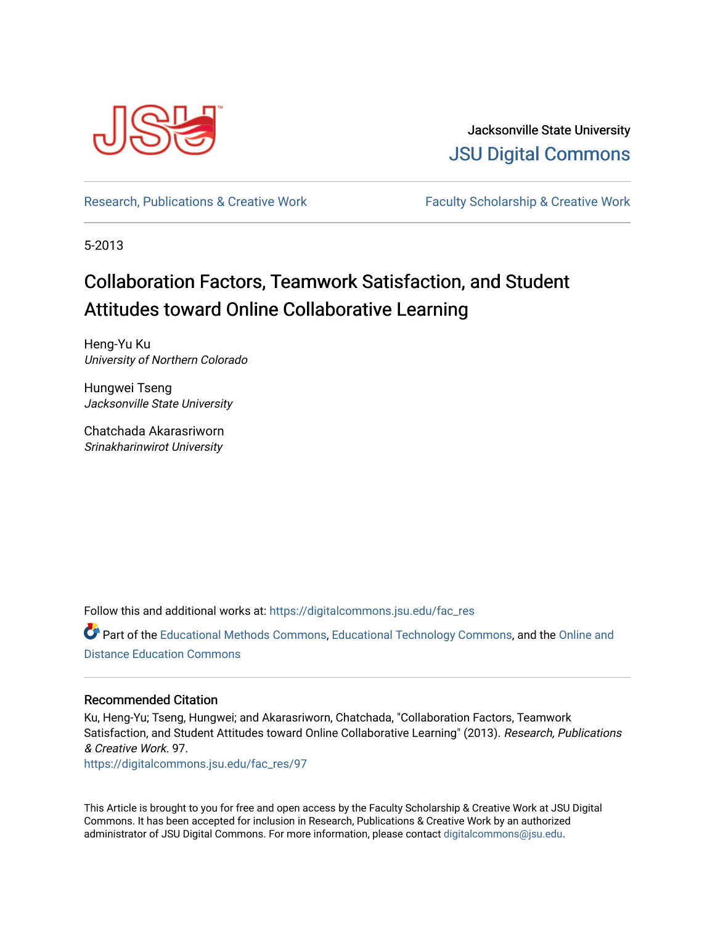

Jacksonville State University [JSU Digital Commons](https://digitalcommons.jsu.edu/) 

[Research, Publications & Creative Work](https://digitalcommons.jsu.edu/fac_res) Faculty Scholarship & Creative Work

5-2013

# Collaboration Factors, Teamwork Satisfaction, and Student Attitudes toward Online Collaborative Learning

Heng-Yu Ku University of Northern Colorado

Hungwei Tseng Jacksonville State University

Chatchada Akarasriworn Srinakharinwirot University

Follow this and additional works at: [https://digitalcommons.jsu.edu/fac\\_res](https://digitalcommons.jsu.edu/fac_res?utm_source=digitalcommons.jsu.edu%2Ffac_res%2F97&utm_medium=PDF&utm_campaign=PDFCoverPages) 

Part of the [Educational Methods Commons,](http://network.bepress.com/hgg/discipline/1227?utm_source=digitalcommons.jsu.edu%2Ffac_res%2F97&utm_medium=PDF&utm_campaign=PDFCoverPages) [Educational Technology Commons,](http://network.bepress.com/hgg/discipline/1415?utm_source=digitalcommons.jsu.edu%2Ffac_res%2F97&utm_medium=PDF&utm_campaign=PDFCoverPages) and the [Online and](http://network.bepress.com/hgg/discipline/1296?utm_source=digitalcommons.jsu.edu%2Ffac_res%2F97&utm_medium=PDF&utm_campaign=PDFCoverPages)  [Distance Education Commons](http://network.bepress.com/hgg/discipline/1296?utm_source=digitalcommons.jsu.edu%2Ffac_res%2F97&utm_medium=PDF&utm_campaign=PDFCoverPages)

# Recommended Citation

Ku, Heng-Yu; Tseng, Hungwei; and Akarasriworn, Chatchada, "Collaboration Factors, Teamwork Satisfaction, and Student Attitudes toward Online Collaborative Learning" (2013). Research, Publications & Creative Work. 97.

[https://digitalcommons.jsu.edu/fac\\_res/97](https://digitalcommons.jsu.edu/fac_res/97?utm_source=digitalcommons.jsu.edu%2Ffac_res%2F97&utm_medium=PDF&utm_campaign=PDFCoverPages)

This Article is brought to you for free and open access by the Faculty Scholarship & Creative Work at JSU Digital Commons. It has been accepted for inclusion in Research, Publications & Creative Work by an authorized administrator of JSU Digital Commons. For more information, please contact [digitalcommons@jsu.edu.](mailto:digitalcommons@jsu.edu)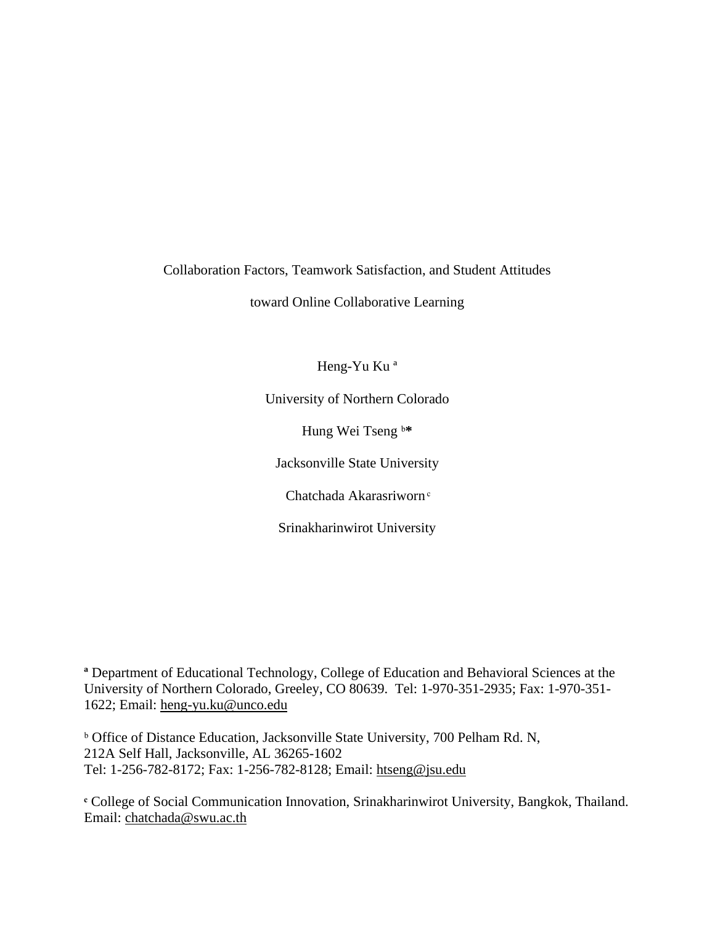Collaboration Factors, Teamwork Satisfaction, and Student Attitudes

toward Online Collaborative Learning

Heng-Yu Ku ª

University of Northern Colorado

Hung Wei Tseng **b\*** 

Jacksonville State University

Chatchada Akarasriworn<sup>e</sup>

Srinakharinwirot University

**ª** Department of Educational Technology, College of Education and Behavioral Sciences at the University of Northern Colorado, Greeley, CO 80639. Tel: 1-970-351-2935; Fax: 1-970-351- 1622; Email: [heng-yu.ku@unco.edu](mailto:heng-yu.ku@unco.edu) 

ᵇ Office of Distance Education, Jacksonville State University, 700 Pelham Rd. N, 212A Self Hall, Jacksonville, AL 36265-1602 Tel: 1-256-782-8172; Fax: 1-256-782-8128; Email: [htseng@jsu.edu](mailto:htseng@jsu.edu)

**ͨ** College of Social Communication Innovation, Srinakharinwirot University, Bangkok, Thailand. Email: [chatchada@swu.ac.th](mailto:chatchada@swu.ac.th)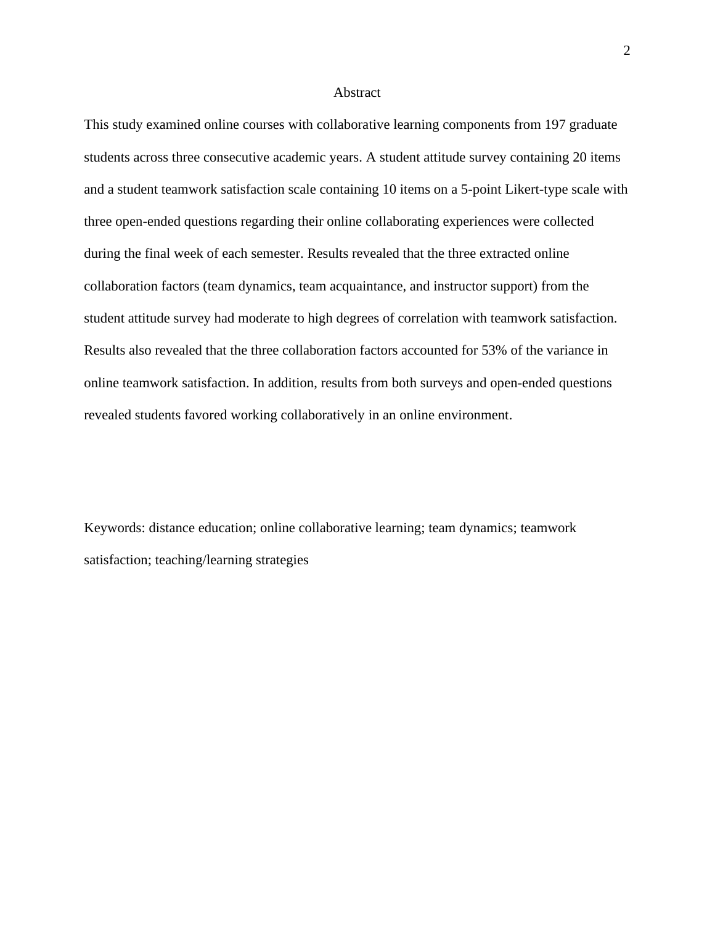#### **Abstract**

This study examined online courses with collaborative learning components from 197 graduate students across three consecutive academic years. A student attitude survey containing 20 items and a student teamwork satisfaction scale containing 10 items on a 5-point Likert-type scale with three open-ended questions regarding their online collaborating experiences were collected during the final week of each semester. Results revealed that the three extracted online collaboration factors (team dynamics, team acquaintance, and instructor support) from the student attitude survey had moderate to high degrees of correlation with teamwork satisfaction. Results also revealed that the three collaboration factors accounted for 53% of the variance in online teamwork satisfaction. In addition, results from both surveys and open-ended questions revealed students favored working collaboratively in an online environment.

Keywords: distance education; online collaborative learning; team dynamics; teamwork satisfaction; teaching/learning strategies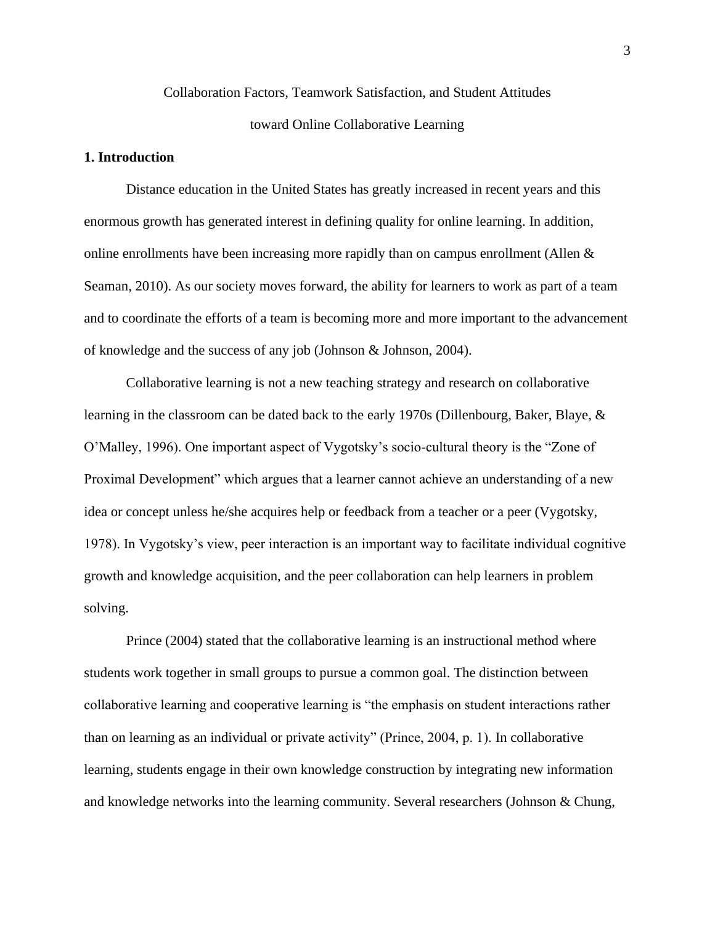# Collaboration Factors, Teamwork Satisfaction, and Student Attitudes toward Online Collaborative Learning

# **1. Introduction**

Distance education in the United States has greatly increased in recent years and this enormous growth has generated interest in defining quality for online learning. In addition, online enrollments have been increasing more rapidly than on campus enrollment (Allen & Seaman, 2010). As our society moves forward, the ability for learners to work as part of a team and to coordinate the efforts of a team is becoming more and more important to the advancement of knowledge and the success of any job (Johnson & Johnson, 2004).

Collaborative learning is not a new teaching strategy and research on collaborative learning in the classroom can be dated back to the early 1970s (Dillenbourg, Baker, Blaye, & O'Malley, 1996). One important aspect of Vygotsky's socio-cultural theory is the "Zone of Proximal Development" which argues that a learner cannot achieve an understanding of a new idea or concept unless he/she acquires help or feedback from a teacher or a peer (Vygotsky, 1978). In Vygotsky's view, peer interaction is an important way to facilitate individual cognitive growth and knowledge acquisition, and the peer collaboration can help learners in problem solving.

Prince (2004) stated that the collaborative learning is an instructional method where students work together in small groups to pursue a common goal. The distinction between collaborative learning and cooperative learning is "the emphasis on student interactions rather than on learning as an individual or private activity" (Prince, 2004, p. 1). In collaborative learning, students engage in their own knowledge construction by integrating new information and knowledge networks into the learning community. Several researchers (Johnson & Chung,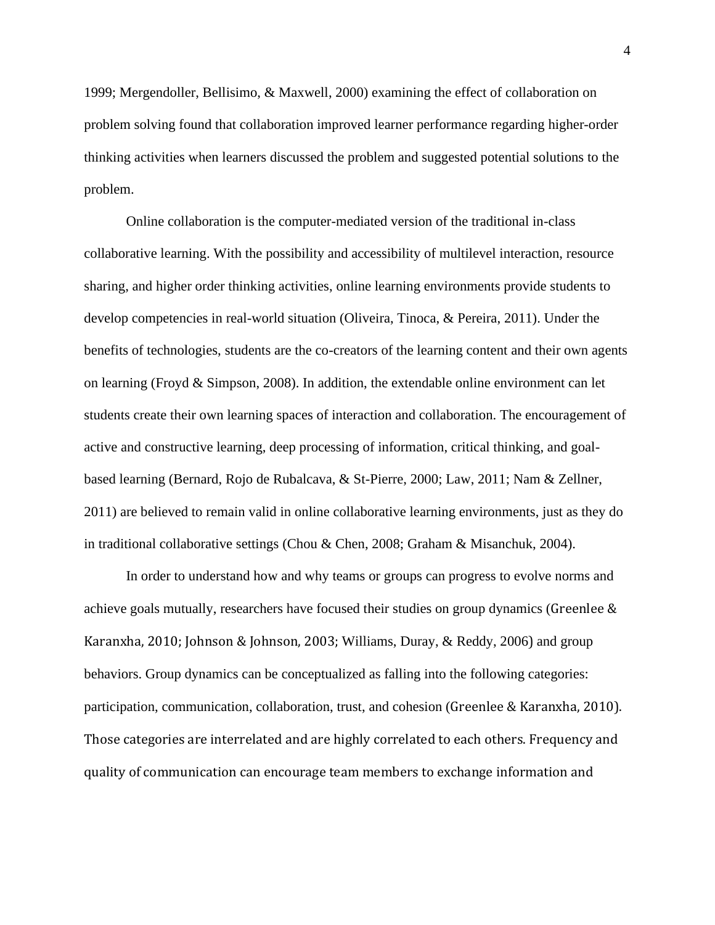1999; Mergendoller, Bellisimo, & Maxwell, 2000) examining the effect of collaboration on problem solving found that collaboration improved learner performance regarding higher-order thinking activities when learners discussed the problem and suggested potential solutions to the problem.

Online collaboration is the computer-mediated version of the traditional in-class collaborative learning. With the possibility and accessibility of multilevel interaction, resource sharing, and higher order thinking activities, online learning environments provide students to develop competencies in real-world situation (Oliveira, Tinoca, & Pereira, 2011). Under the benefits of technologies, students are the co-creators of the learning content and their own agents on learning (Froyd & Simpson, 2008). In addition, the extendable online environment can let students create their own learning spaces of interaction and collaboration. The encouragement of active and constructive learning, deep processing of information, critical thinking, and goalbased learning (Bernard, Rojo de Rubalcava, & St-Pierre, 2000; Law, 2011; Nam & Zellner, 2011) are believed to remain valid in online collaborative learning environments, just as they do in traditional collaborative settings (Chou & Chen, 2008; Graham & Misanchuk, 2004).

In order to understand how and why teams or groups can progress to evolve norms and achieve goals mutually, researchers have focused their studies on group dynamics (Greenlee & Karanxha, 2010; Johnson & Johnson, 2003; Williams, Duray, & Reddy, 2006) and group behaviors. Group dynamics can be conceptualized as falling into the following categories: participation, communication, collaboration, trust, and cohesion (Greenlee & Karanxha, 2010). Those categories are interrelated and are highly correlated to each others. Frequency and quality of communication can encourage team members to exchange information and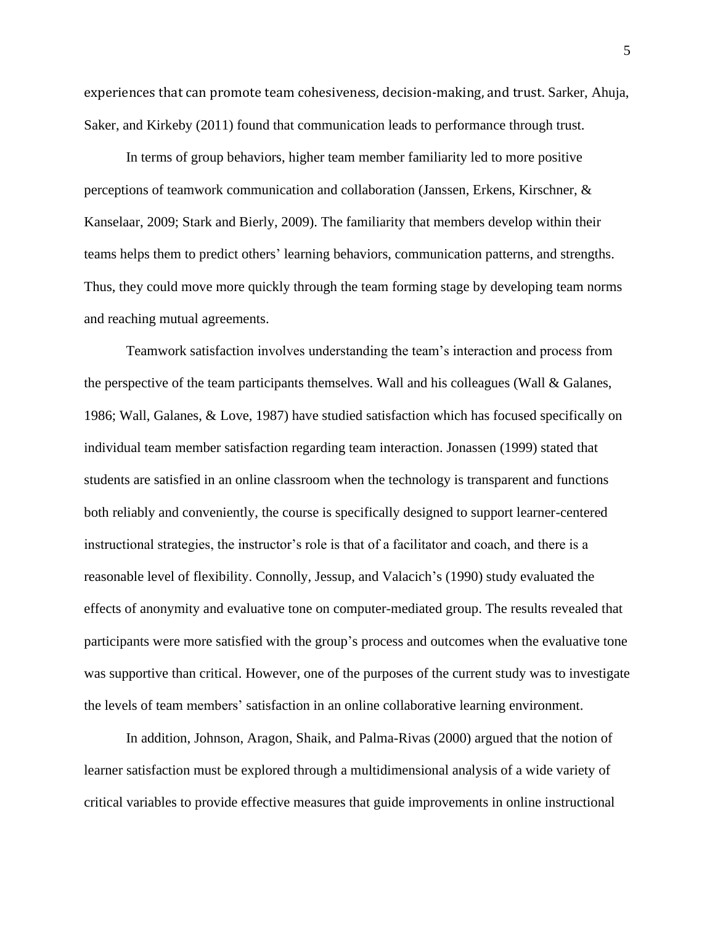experiences that can promote team cohesiveness, decision-making, and trust. Sarker, Ahuja, Saker, and Kirkeby (2011) found that communication leads to performance through trust.

In terms of group behaviors, higher team member familiarity led to more positive perceptions of teamwork communication and collaboration (Janssen, Erkens, Kirschner, & Kanselaar, 2009; Stark and Bierly, 2009). The familiarity that members develop within their teams helps them to predict others' learning behaviors, communication patterns, and strengths. Thus, they could move more quickly through the team forming stage by developing team norms and reaching mutual agreements.

Teamwork satisfaction involves understanding the team's interaction and process from the perspective of the team participants themselves. Wall and his colleagues (Wall & Galanes, 1986; Wall, Galanes, & Love, 1987) have studied satisfaction which has focused specifically on individual team member satisfaction regarding team interaction. Jonassen (1999) stated that students are satisfied in an online classroom when the technology is transparent and functions both reliably and conveniently, the course is specifically designed to support learner-centered instructional strategies, the instructor's role is that of a facilitator and coach, and there is a reasonable level of flexibility. Connolly, Jessup, and Valacich's (1990) study evaluated the effects of anonymity and evaluative tone on computer-mediated group. The results revealed that participants were more satisfied with the group's process and outcomes when the evaluative tone was supportive than critical. However, one of the purposes of the current study was to investigate the levels of team members' satisfaction in an online collaborative learning environment.

In addition, Johnson, Aragon, Shaik, and Palma-Rivas (2000) argued that the notion of learner satisfaction must be explored through a multidimensional analysis of a wide variety of critical variables to provide effective measures that guide improvements in online instructional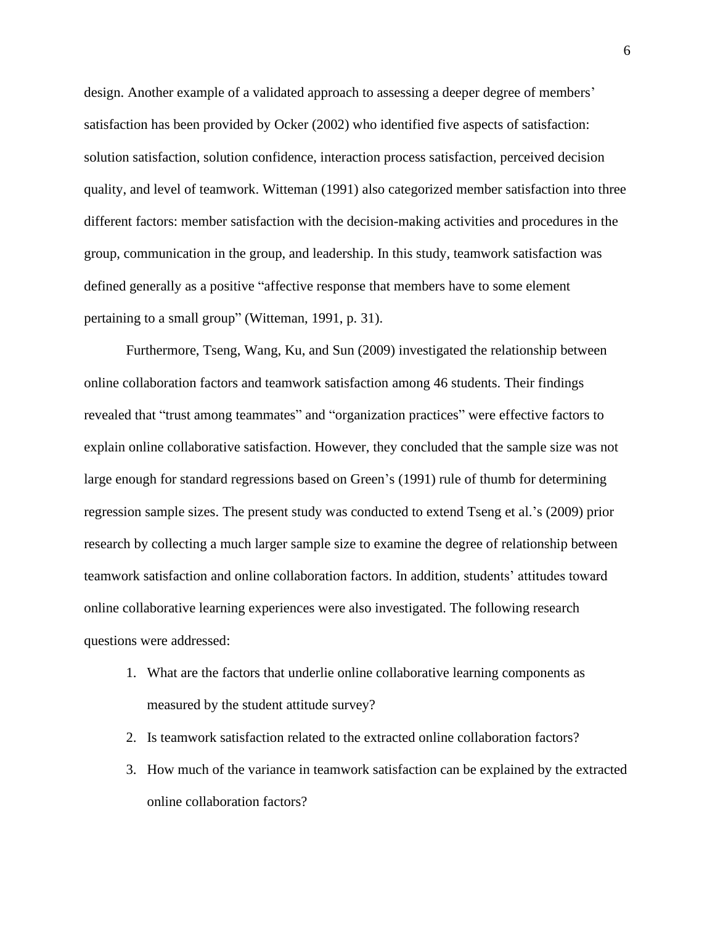design. Another example of a validated approach to assessing a deeper degree of members' satisfaction has been provided by Ocker (2002) who identified five aspects of satisfaction: solution satisfaction, solution confidence, interaction process satisfaction, perceived decision quality, and level of teamwork. Witteman (1991) also categorized member satisfaction into three different factors: member satisfaction with the decision-making activities and procedures in the group, communication in the group, and leadership. In this study, teamwork satisfaction was defined generally as a positive "affective response that members have to some element pertaining to a small group" (Witteman, 1991, p. 31).

Furthermore, Tseng, Wang, Ku, and Sun (2009) investigated the relationship between online collaboration factors and teamwork satisfaction among 46 students. Their findings revealed that "trust among teammates" and "organization practices" were effective factors to explain online collaborative satisfaction. However, they concluded that the sample size was not large enough for standard regressions based on Green's (1991) rule of thumb for determining regression sample sizes. The present study was conducted to extend Tseng et al.'s (2009) prior research by collecting a much larger sample size to examine the degree of relationship between teamwork satisfaction and online collaboration factors. In addition, students' attitudes toward online collaborative learning experiences were also investigated. The following research questions were addressed:

- 1. What are the factors that underlie online collaborative learning components as measured by the student attitude survey?
- 2. Is teamwork satisfaction related to the extracted online collaboration factors?
- 3. How much of the variance in teamwork satisfaction can be explained by the extracted online collaboration factors?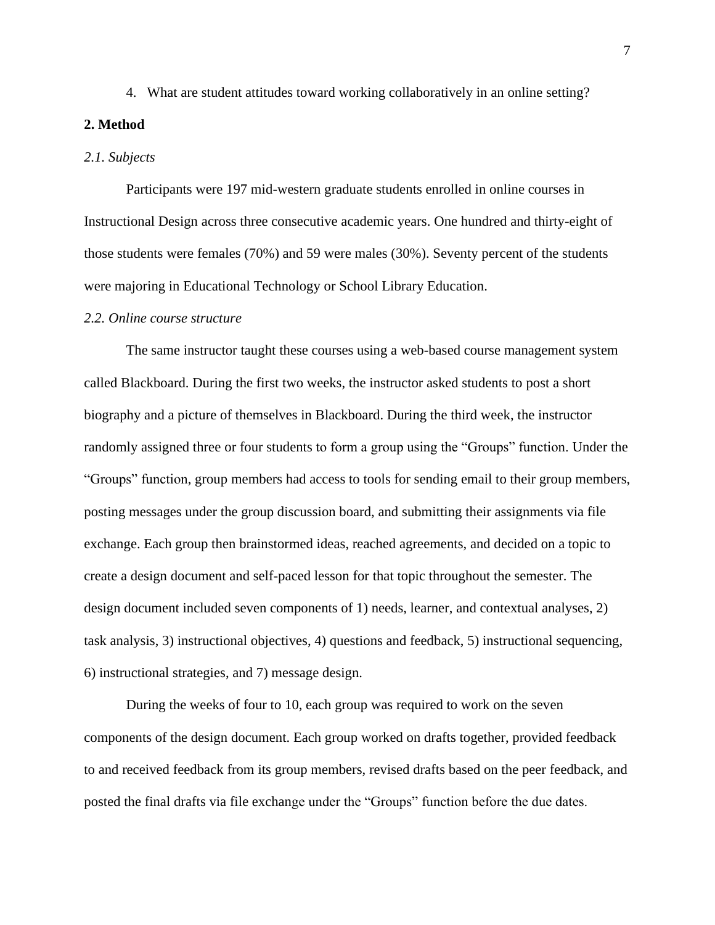4. What are student attitudes toward working collaboratively in an online setting?

# **2. Method**

# *2.1. Subjects*

Participants were 197 mid-western graduate students enrolled in online courses in Instructional Design across three consecutive academic years. One hundred and thirty-eight of those students were females (70%) and 59 were males (30%). Seventy percent of the students were majoring in Educational Technology or School Library Education.

#### *2.2. Online course structure*

The same instructor taught these courses using a web-based course management system called Blackboard. During the first two weeks, the instructor asked students to post a short biography and a picture of themselves in Blackboard. During the third week, the instructor randomly assigned three or four students to form a group using the "Groups" function. Under the "Groups" function, group members had access to tools for sending email to their group members, posting messages under the group discussion board, and submitting their assignments via file exchange. Each group then brainstormed ideas, reached agreements, and decided on a topic to create a design document and self-paced lesson for that topic throughout the semester. The design document included seven components of 1) needs, learner, and contextual analyses, 2) task analysis, 3) instructional objectives, 4) questions and feedback, 5) instructional sequencing, 6) instructional strategies, and 7) message design.

During the weeks of four to 10, each group was required to work on the seven components of the design document. Each group worked on drafts together, provided feedback to and received feedback from its group members, revised drafts based on the peer feedback, and posted the final drafts via file exchange under the "Groups" function before the due dates.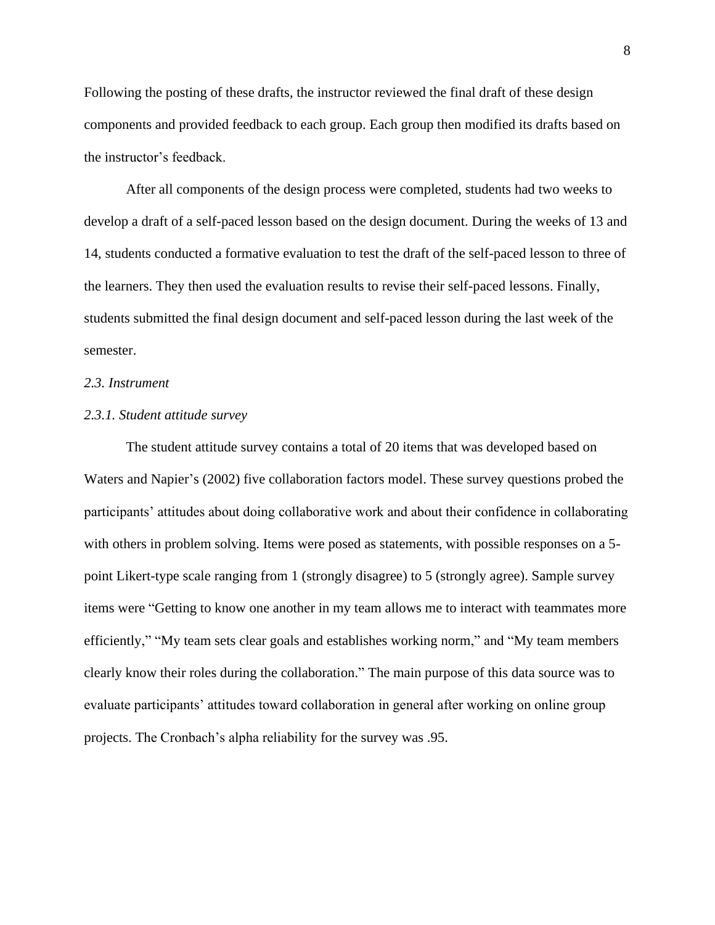Following the posting of these drafts, the instructor reviewed the final draft of these design components and provided feedback to each group. Each group then modified its drafts based on the instructor's feedback.

After all components of the design process were completed, students had two weeks to develop a draft of a self-paced lesson based on the design document. During the weeks of 13 and 14, students conducted a formative evaluation to test the draft of the self-paced lesson to three of the learners. They then used the evaluation results to revise their self-paced lessons. Finally, students submitted the final design document and self-paced lesson during the last week of the semester.

# *2.3. Instrument*

#### *2.3.1. Student attitude survey*

The student attitude survey contains a total of 20 items that was developed based on Waters and Napier's (2002) five collaboration factors model. These survey questions probed the participants' attitudes about doing collaborative work and about their confidence in collaborating with others in problem solving. Items were posed as statements, with possible responses on a 5point Likert-type scale ranging from 1 (strongly disagree) to 5 (strongly agree). Sample survey items were "Getting to know one another in my team allows me to interact with teammates more efficiently," "My team sets clear goals and establishes working norm," and "My team members clearly know their roles during the collaboration." The main purpose of this data source was to evaluate participants' attitudes toward collaboration in general after working on online group projects. The Cronbach's alpha reliability for the survey was .95.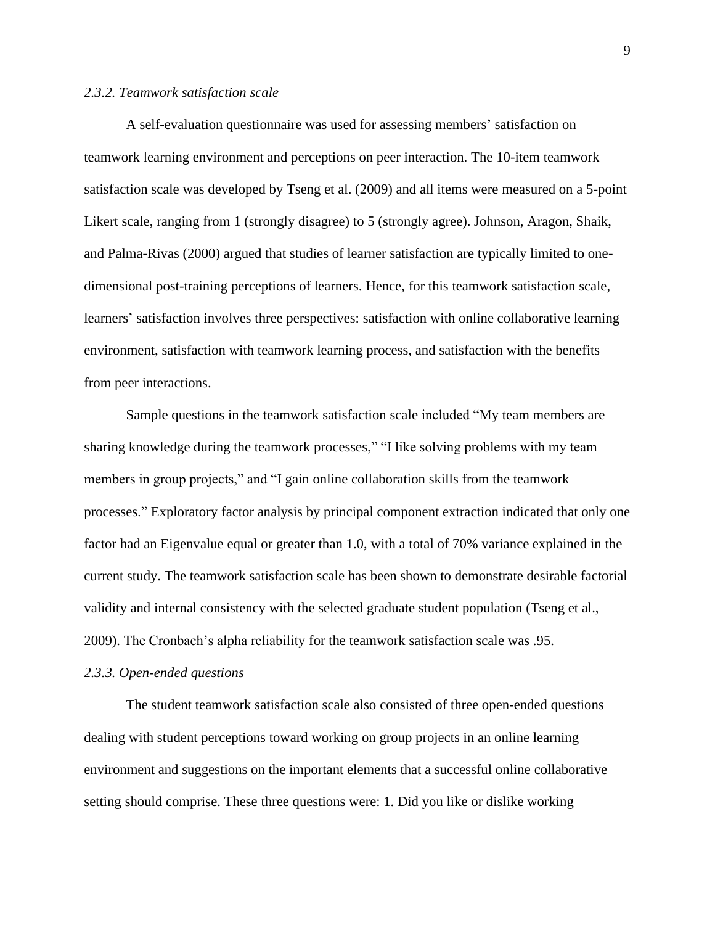#### *2.3.2. Teamwork satisfaction scale*

A self-evaluation questionnaire was used for assessing members' satisfaction on teamwork learning environment and perceptions on peer interaction. The 10-item teamwork satisfaction scale was developed by Tseng et al. (2009) and all items were measured on a 5-point Likert scale, ranging from 1 (strongly disagree) to 5 (strongly agree). Johnson, Aragon, Shaik, and Palma-Rivas (2000) argued that studies of learner satisfaction are typically limited to onedimensional post-training perceptions of learners. Hence, for this teamwork satisfaction scale, learners' satisfaction involves three perspectives: satisfaction with online collaborative learning environment, satisfaction with teamwork learning process, and satisfaction with the benefits from peer interactions.

Sample questions in the teamwork satisfaction scale included "My team members are sharing knowledge during the teamwork processes," "I like solving problems with my team members in group projects," and "I gain online collaboration skills from the teamwork processes." Exploratory factor analysis by principal component extraction indicated that only one factor had an Eigenvalue equal or greater than 1.0, with a total of 70% variance explained in the current study. The teamwork satisfaction scale has been shown to demonstrate desirable factorial validity and internal consistency with the selected graduate student population (Tseng et al., 2009). The Cronbach's alpha reliability for the teamwork satisfaction scale was .95.

#### *2.3.3. Open-ended questions*

The student teamwork satisfaction scale also consisted of three open-ended questions dealing with student perceptions toward working on group projects in an online learning environment and suggestions on the important elements that a successful online collaborative setting should comprise. These three questions were: 1. Did you like or dislike working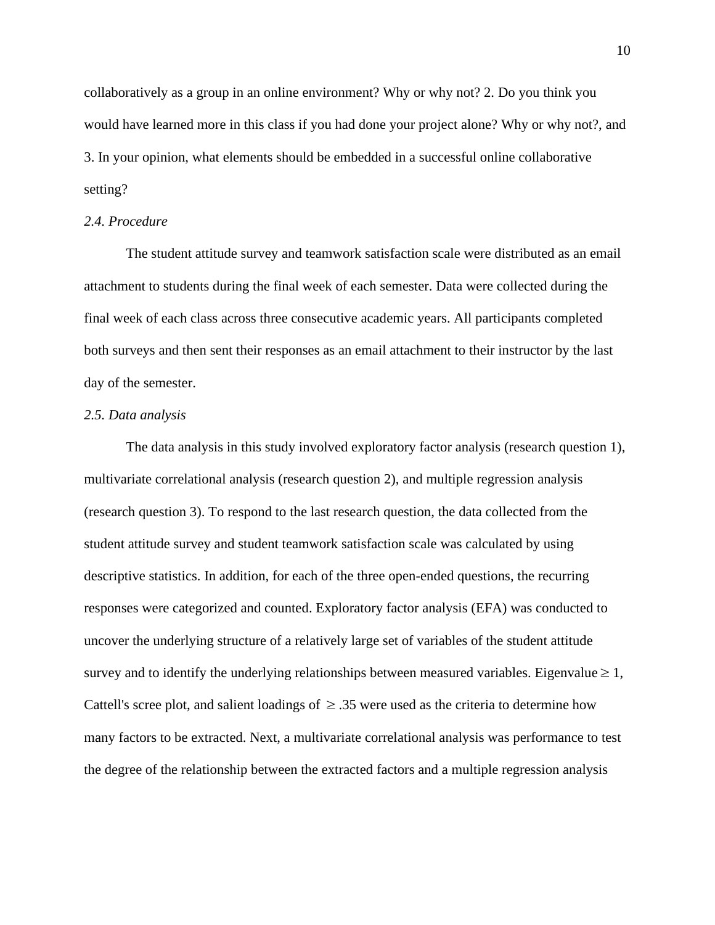collaboratively as a group in an online environment? Why or why not? 2. Do you think you would have learned more in this class if you had done your project alone? Why or why not?, and 3. In your opinion, what elements should be embedded in a successful online collaborative setting?

#### *2.4. Procedure*

The student attitude survey and teamwork satisfaction scale were distributed as an email attachment to students during the final week of each semester. Data were collected during the final week of each class across three consecutive academic years. All participants completed both surveys and then sent their responses as an email attachment to their instructor by the last day of the semester.

#### *2.5. Data analysis*

The data analysis in this study involved exploratory factor analysis (research question 1), multivariate correlational analysis (research question 2), and multiple regression analysis (research question 3). To respond to the last research question, the data collected from the student attitude survey and student teamwork satisfaction scale was calculated by using descriptive statistics. In addition, for each of the three open-ended questions, the recurring responses were categorized and counted. Exploratory factor analysis (EFA) was conducted to uncover the underlying structure of a relatively large set of variables of the student attitude survey and to identify the underlying relationships between measured variables. Eigenvalue  $\geq 1$ , Cattell's scree plot, and salient loadings of  $\geq$  .35 were used as the criteria to determine how many factors to be extracted. Next, a multivariate correlational analysis was performance to test the degree of the relationship between the extracted factors and a multiple regression analysis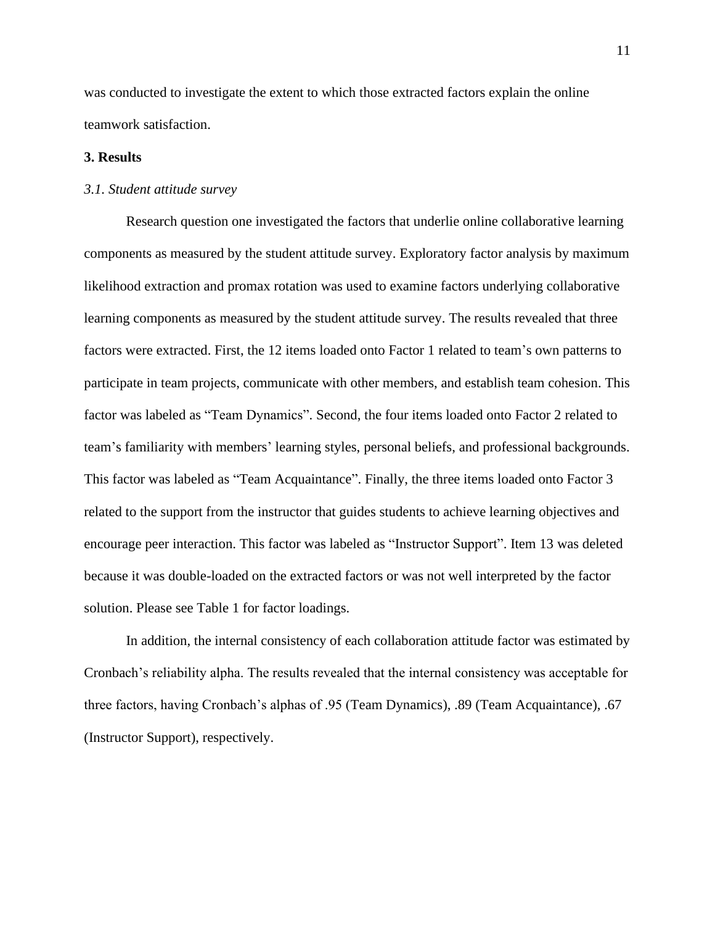was conducted to investigate the extent to which those extracted factors explain the online teamwork satisfaction.

# **3. Results**

#### *3.1. Student attitude survey*

Research question one investigated the factors that underlie online collaborative learning components as measured by the student attitude survey. Exploratory factor analysis by maximum likelihood extraction and promax rotation was used to examine factors underlying collaborative learning components as measured by the student attitude survey. The results revealed that three factors were extracted. First, the 12 items loaded onto Factor 1 related to team's own patterns to participate in team projects, communicate with other members, and establish team cohesion. This factor was labeled as "Team Dynamics". Second, the four items loaded onto Factor 2 related to team's familiarity with members' learning styles, personal beliefs, and professional backgrounds. This factor was labeled as "Team Acquaintance". Finally, the three items loaded onto Factor 3 related to the support from the instructor that guides students to achieve learning objectives and encourage peer interaction. This factor was labeled as "Instructor Support". Item 13 was deleted because it was double-loaded on the extracted factors or was not well interpreted by the factor solution. Please see Table 1 for factor loadings.

In addition, the internal consistency of each collaboration attitude factor was estimated by Cronbach's reliability alpha. The results revealed that the internal consistency was acceptable for three factors, having Cronbach's alphas of .95 (Team Dynamics), .89 (Team Acquaintance), .67 (Instructor Support), respectively.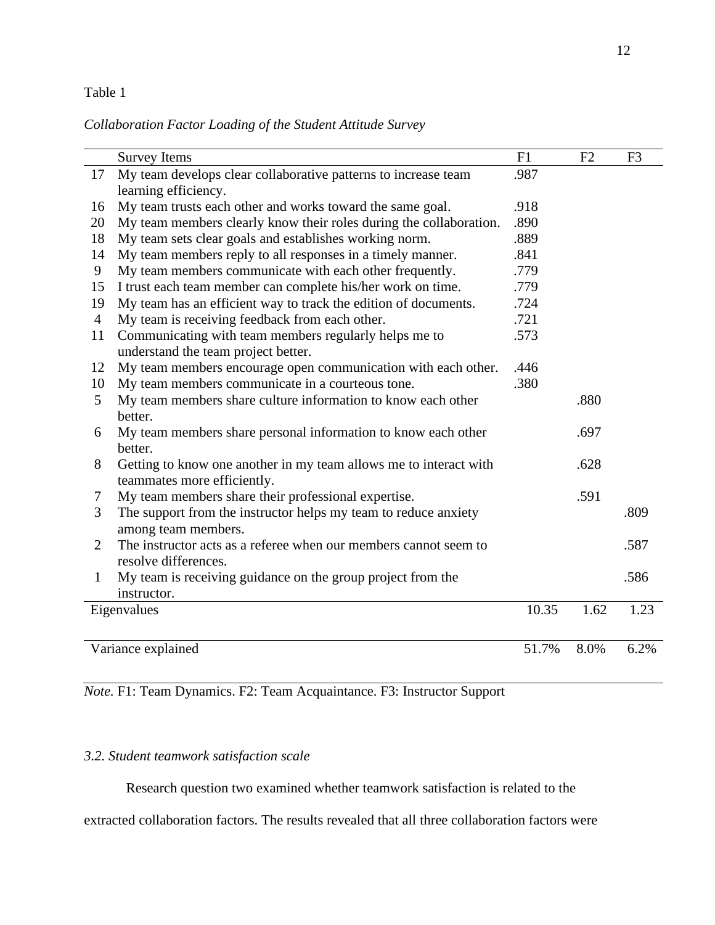# Table 1

# *Collaboration Factor Loading of the Student Attitude Survey*

|                    | <b>Survey Items</b>                                                | F1    | F2   | F <sub>3</sub> |
|--------------------|--------------------------------------------------------------------|-------|------|----------------|
| 17                 | My team develops clear collaborative patterns to increase team     | .987  |      |                |
|                    | learning efficiency.                                               |       |      |                |
| 16                 | My team trusts each other and works toward the same goal.          | .918  |      |                |
| 20                 | My team members clearly know their roles during the collaboration. | .890  |      |                |
| 18                 | My team sets clear goals and establishes working norm.             | .889  |      |                |
| 14                 | My team members reply to all responses in a timely manner.         | .841  |      |                |
| 9                  | My team members communicate with each other frequently.            | .779  |      |                |
| 15                 | I trust each team member can complete his/her work on time.        | .779  |      |                |
| 19                 | My team has an efficient way to track the edition of documents.    | .724  |      |                |
| $\overline{4}$     | My team is receiving feedback from each other.                     | .721  |      |                |
| 11                 | Communicating with team members regularly helps me to              | .573  |      |                |
|                    | understand the team project better.                                |       |      |                |
| 12                 | My team members encourage open communication with each other.      | .446  |      |                |
| 10                 | My team members communicate in a courteous tone.                   | .380  |      |                |
| 5                  | My team members share culture information to know each other       |       | .880 |                |
|                    | better.                                                            |       |      |                |
| 6                  | My team members share personal information to know each other      |       | .697 |                |
|                    | better.                                                            |       |      |                |
| 8                  | Getting to know one another in my team allows me to interact with  |       | .628 |                |
|                    | teammates more efficiently.                                        |       |      |                |
| 7                  | My team members share their professional expertise.                |       | .591 |                |
| 3                  | The support from the instructor helps my team to reduce anxiety    |       |      | .809           |
|                    | among team members.                                                |       |      |                |
| 2                  | The instructor acts as a referee when our members cannot seem to   |       |      | .587           |
|                    | resolve differences.                                               |       |      |                |
| $\mathbf{1}$       | My team is receiving guidance on the group project from the        |       |      | .586           |
|                    | instructor.                                                        |       |      |                |
| Eigenvalues        |                                                                    | 10.35 | 1.62 | 1.23           |
|                    |                                                                    |       |      |                |
| Variance explained |                                                                    | 51.7% | 8.0% | 6.2%           |
|                    |                                                                    |       |      |                |

*Note.* F1: Team Dynamics. F2: Team Acquaintance. F3: Instructor Support

# *3.2. Student teamwork satisfaction scale*

Research question two examined whether teamwork satisfaction is related to the

extracted collaboration factors. The results revealed that all three collaboration factors were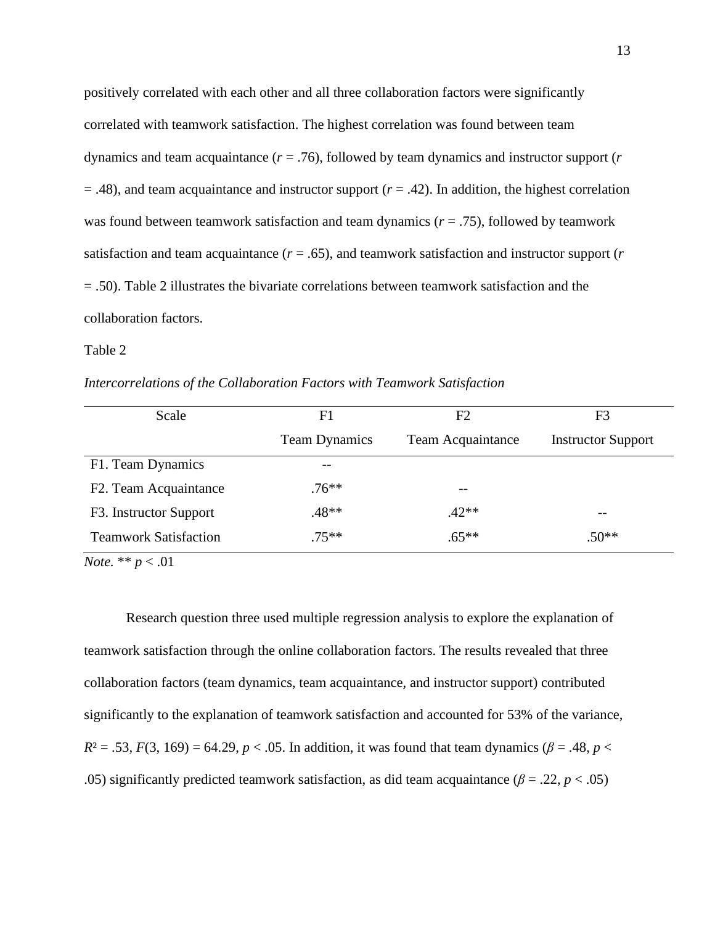positively correlated with each other and all three collaboration factors were significantly correlated with teamwork satisfaction. The highest correlation was found between team dynamics and team acquaintance (*r* = .76), followed by team dynamics and instructor support (*r*  $=$  .48), and team acquaintance and instructor support ( $r = .42$ ). In addition, the highest correlation was found between teamwork satisfaction and team dynamics ( $r = .75$ ), followed by teamwork satisfaction and team acquaintance  $(r = .65)$ , and teamwork satisfaction and instructor support  $(r = .65)$ = .50). Table 2 illustrates the bivariate correlations between teamwork satisfaction and the collaboration factors.

#### Table 2

*Intercorrelations of the Collaboration Factors with Teamwork Satisfaction*

| Scale                        | F1                   | F2                | F <sub>3</sub>            |
|------------------------------|----------------------|-------------------|---------------------------|
|                              | <b>Team Dynamics</b> | Team Acquaintance | <b>Instructor Support</b> |
| F1. Team Dynamics            |                      |                   |                           |
| F2. Team Acquaintance        | $.76**$              | --                |                           |
| F3. Instructor Support       | .48**                | $.42**$           | $- -$                     |
| <b>Teamwork Satisfaction</b> | $.75**$              | $.65**$           | $.50**$                   |

*Note.* \*\* *p* < .01

Research question three used multiple regression analysis to explore the explanation of teamwork satisfaction through the online collaboration factors. The results revealed that three collaboration factors (team dynamics, team acquaintance, and instructor support) contributed significantly to the explanation of teamwork satisfaction and accounted for 53% of the variance,  $R^2 = 0.53$ ,  $F(3, 169) = 64.29$ ,  $p < 0.05$ . In addition, it was found that team dynamics ( $\beta = 0.48$ ,  $p <$ .05) significantly predicted teamwork satisfaction, as did team acquaintance ( $\beta$  = .22, *p* < .05)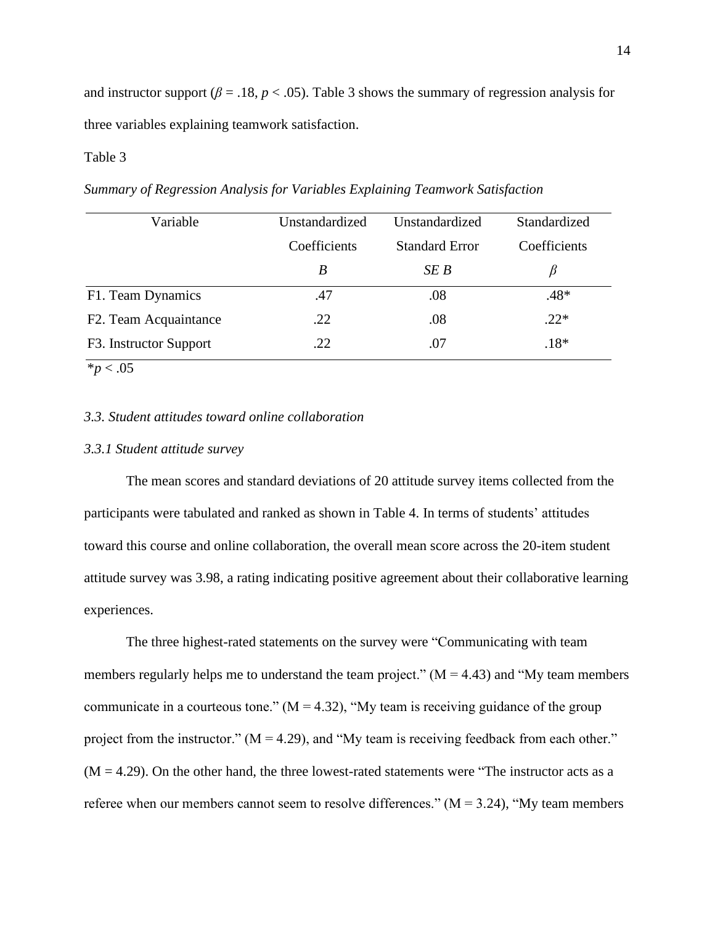and instructor support ( $\beta = .18$ ,  $p < .05$ ). Table 3 shows the summary of regression analysis for three variables explaining teamwork satisfaction.

# Table 3

*Summary of Regression Analysis for Variables Explaining Teamwork Satisfaction*

| Variable               | Unstandardized | Unstandardized        | Standardized |
|------------------------|----------------|-----------------------|--------------|
|                        | Coefficients   | <b>Standard Error</b> | Coefficients |
|                        | B              | SE B                  |              |
| F1. Team Dynamics      | .47            | .08                   | .48*         |
| F2. Team Acquaintance  | .22            | .08                   | $.22*$       |
| F3. Instructor Support | .22            | .07                   | $.18*$       |

 $*p < .05$ 

# *3.3. Student attitudes toward online collaboration*

# *3.3.1 Student attitude survey*

The mean scores and standard deviations of 20 attitude survey items collected from the participants were tabulated and ranked as shown in Table 4. In terms of students' attitudes toward this course and online collaboration, the overall mean score across the 20-item student attitude survey was 3.98, a rating indicating positive agreement about their collaborative learning experiences.

The three highest-rated statements on the survey were "Communicating with team members regularly helps me to understand the team project."  $(M = 4.43)$  and "My team members" communicate in a courteous tone."  $(M = 4.32)$ , "My team is receiving guidance of the group project from the instructor." ( $M = 4.29$ ), and "My team is receiving feedback from each other."  $(M = 4.29)$ . On the other hand, the three lowest-rated statements were "The instructor acts as a referee when our members cannot seem to resolve differences."  $(M = 3.24)$ , "My team members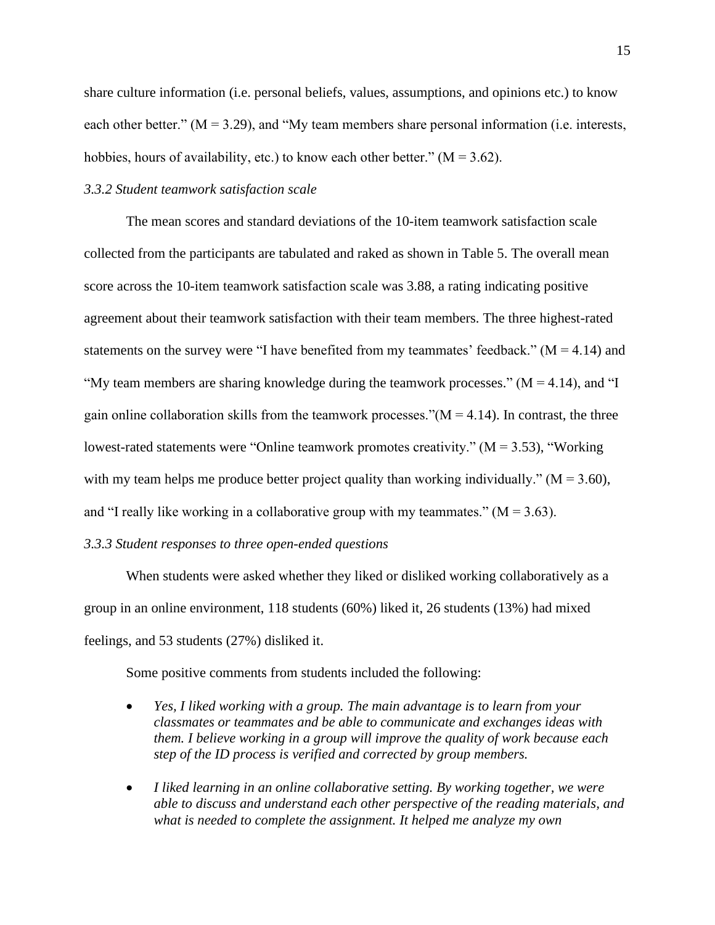share culture information (i.e. personal beliefs, values, assumptions, and opinions etc.) to know each other better."  $(M = 3.29)$ , and "My team members share personal information (i.e. interests, hobbies, hours of availability, etc.) to know each other better."  $(M = 3.62)$ .

# *3.3.2 Student teamwork satisfaction scale*

The mean scores and standard deviations of the 10-item teamwork satisfaction scale collected from the participants are tabulated and raked as shown in Table 5. The overall mean score across the 10-item teamwork satisfaction scale was 3.88, a rating indicating positive agreement about their teamwork satisfaction with their team members. The three highest-rated statements on the survey were "I have benefited from my teammates' feedback."  $(M = 4.14)$  and "My team members are sharing knowledge during the teamwork processes."  $(M = 4.14)$ , and "I gain online collaboration skills from the teamwork processes." $(M = 4.14)$ . In contrast, the three lowest-rated statements were "Online teamwork promotes creativity." ( $M = 3.53$ ), "Working with my team helps me produce better project quality than working individually." ( $M = 3.60$ ), and "I really like working in a collaborative group with my teammates."  $(M = 3.63)$ .

#### *3.3.3 Student responses to three open-ended questions*

When students were asked whether they liked or disliked working collaboratively as a group in an online environment, 118 students (60%) liked it, 26 students (13%) had mixed feelings, and 53 students (27%) disliked it.

Some positive comments from students included the following:

- *Yes, I liked working with a group. The main advantage is to learn from your classmates or teammates and be able to communicate and exchanges ideas with them. I believe working in a group will improve the quality of work because each step of the ID process is verified and corrected by group members.*
- *I liked learning in an online collaborative setting. By working together, we were able to discuss and understand each other perspective of the reading materials, and what is needed to complete the assignment. It helped me analyze my own*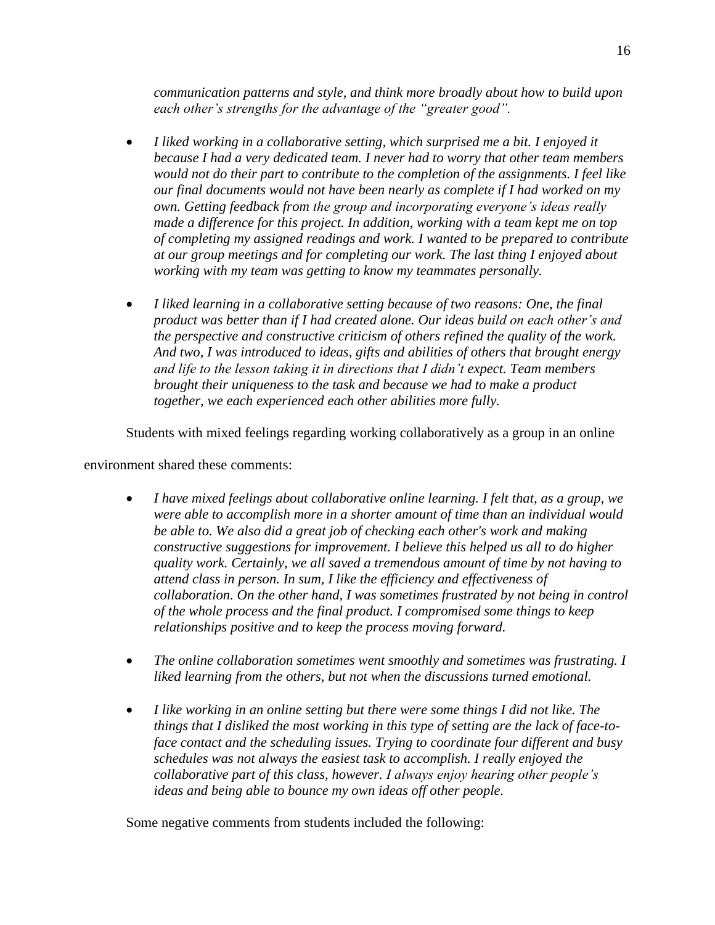*communication patterns and style, and think more broadly about how to build upon each other's strengths for the advantage of the "greater good".*

- *I liked working in a collaborative setting, which surprised me a bit. I enjoyed it because I had a very dedicated team. I never had to worry that other team members would not do their part to contribute to the completion of the assignments. I feel like our final documents would not have been nearly as complete if I had worked on my own. Getting feedback from the group and incorporating everyone's ideas really made a difference for this project. In addition, working with a team kept me on top of completing my assigned readings and work. I wanted to be prepared to contribute at our group meetings and for completing our work. The last thing I enjoyed about working with my team was getting to know my teammates personally.*
- *I liked learning in a collaborative setting because of two reasons: One, the final product was better than if I had created alone. Our ideas build on each other's and the perspective and constructive criticism of others refined the quality of the work. And two, I was introduced to ideas, gifts and abilities of others that brought energy and life to the lesson taking it in directions that I didn't expect. Team members brought their uniqueness to the task and because we had to make a product together, we each experienced each other abilities more fully.*

Students with mixed feelings regarding working collaboratively as a group in an online

environment shared these comments:

- *I have mixed feelings about collaborative online learning. I felt that, as a group, we were able to accomplish more in a shorter amount of time than an individual would be able to. We also did a great job of checking each other's work and making constructive suggestions for improvement. I believe this helped us all to do higher quality work. Certainly, we all saved a tremendous amount of time by not having to attend class in person. In sum, I like the efficiency and effectiveness of collaboration. On the other hand, I was sometimes frustrated by not being in control of the whole process and the final product. I compromised some things to keep relationships positive and to keep the process moving forward.*
- *The online collaboration sometimes went smoothly and sometimes was frustrating. I liked learning from the others, but not when the discussions turned emotional.*
- *I like working in an online setting but there were some things I did not like. The things that I disliked the most working in this type of setting are the lack of face-toface contact and the scheduling issues. Trying to coordinate four different and busy schedules was not always the easiest task to accomplish. I really enjoyed the collaborative part of this class, however. I always enjoy hearing other people's ideas and being able to bounce my own ideas off other people.*

Some negative comments from students included the following: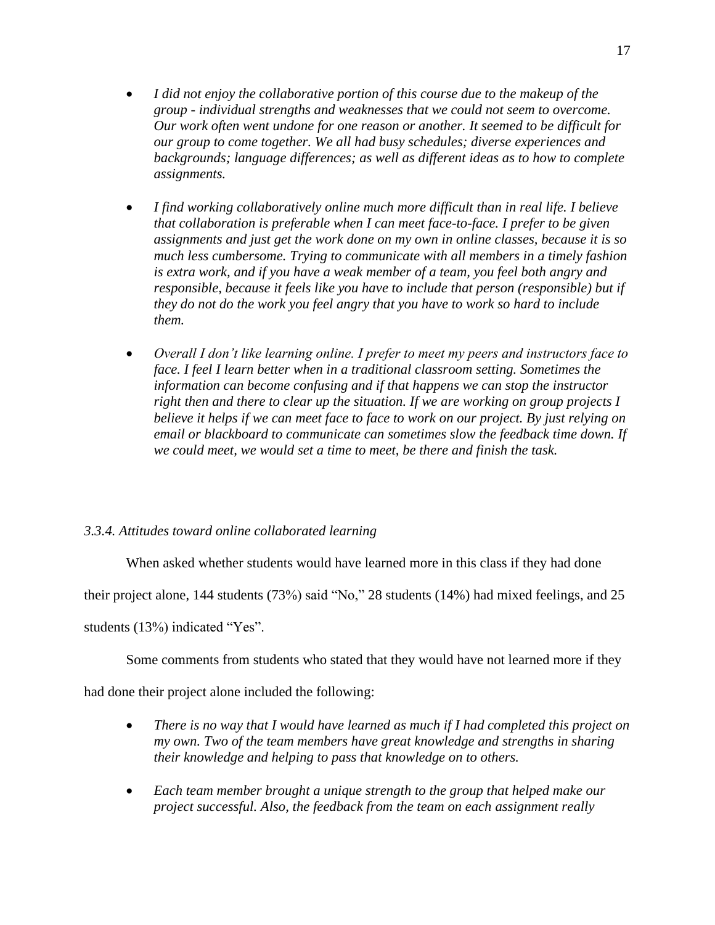- *I did not enjoy the collaborative portion of this course due to the makeup of the group - individual strengths and weaknesses that we could not seem to overcome. Our work often went undone for one reason or another. It seemed to be difficult for our group to come together. We all had busy schedules; diverse experiences and backgrounds; language differences; as well as different ideas as to how to complete assignments.*
- *I find working collaboratively online much more difficult than in real life. I believe that collaboration is preferable when I can meet face-to-face. I prefer to be given assignments and just get the work done on my own in online classes, because it is so much less cumbersome. Trying to communicate with all members in a timely fashion is extra work, and if you have a weak member of a team, you feel both angry and responsible, because it feels like you have to include that person (responsible) but if they do not do the work you feel angry that you have to work so hard to include them.*
- *Overall I don't like learning online. I prefer to meet my peers and instructors face to face. I feel I learn better when in a traditional classroom setting. Sometimes the information can become confusing and if that happens we can stop the instructor right then and there to clear up the situation. If we are working on group projects I believe it helps if we can meet face to face to work on our project. By just relying on email or blackboard to communicate can sometimes slow the feedback time down. If we could meet, we would set a time to meet, be there and finish the task.*

# *3.3.4. Attitudes toward online collaborated learning*

When asked whether students would have learned more in this class if they had done

their project alone, 144 students (73%) said "No," 28 students (14%) had mixed feelings, and 25

students (13%) indicated "Yes".

Some comments from students who stated that they would have not learned more if they

had done their project alone included the following:

- *There is no way that I would have learned as much if I had completed this project on my own. Two of the team members have great knowledge and strengths in sharing their knowledge and helping to pass that knowledge on to others.*
- *Each team member brought a unique strength to the group that helped make our project successful. Also, the feedback from the team on each assignment really*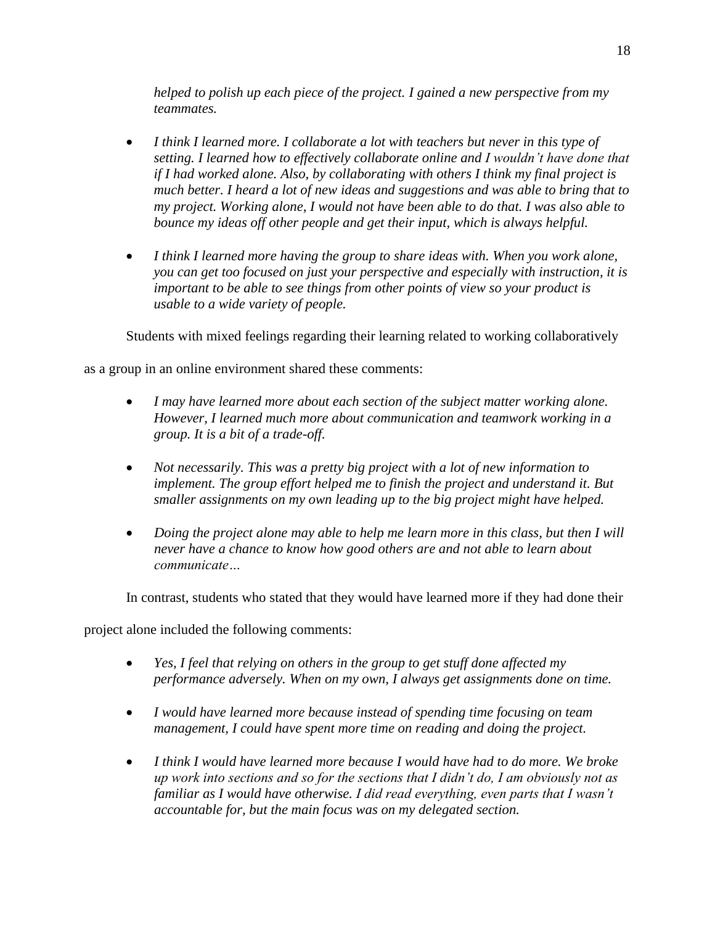*helped to polish up each piece of the project. I gained a new perspective from my teammates.*

- *I think I learned more. I collaborate a lot with teachers but never in this type of setting. I learned how to effectively collaborate online and I wouldn't have done that if I had worked alone. Also, by collaborating with others I think my final project is much better. I heard a lot of new ideas and suggestions and was able to bring that to my project. Working alone, I would not have been able to do that. I was also able to bounce my ideas off other people and get their input, which is always helpful.*
- *I think I learned more having the group to share ideas with. When you work alone, you can get too focused on just your perspective and especially with instruction, it is important to be able to see things from other points of view so your product is usable to a wide variety of people.*

Students with mixed feelings regarding their learning related to working collaboratively

as a group in an online environment shared these comments:

- *I may have learned more about each section of the subject matter working alone. However, I learned much more about communication and teamwork working in a group. It is a bit of a trade-off.*
- *Not necessarily. This was a pretty big project with a lot of new information to implement. The group effort helped me to finish the project and understand it. But smaller assignments on my own leading up to the big project might have helped.*
- *Doing the project alone may able to help me learn more in this class, but then I will never have a chance to know how good others are and not able to learn about communicate…*

In contrast, students who stated that they would have learned more if they had done their

project alone included the following comments:

- *Yes, I feel that relying on others in the group to get stuff done affected my performance adversely. When on my own, I always get assignments done on time.*
- *I would have learned more because instead of spending time focusing on team management, I could have spent more time on reading and doing the project.*
- *I think I would have learned more because I would have had to do more. We broke up work into sections and so for the sections that I didn't do, I am obviously not as familiar as I would have otherwise. I did read everything, even parts that I wasn't accountable for, but the main focus was on my delegated section.*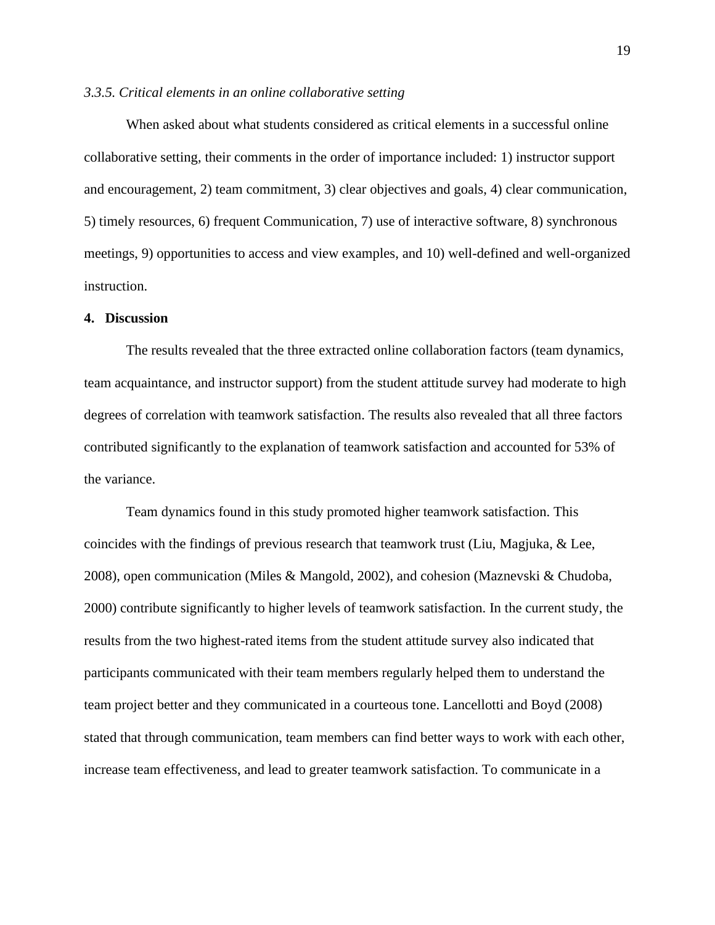#### *3.3.5. Critical elements in an online collaborative setting*

When asked about what students considered as critical elements in a successful online collaborative setting, their comments in the order of importance included: 1) instructor support and encouragement, 2) team commitment, 3) clear objectives and goals, 4) clear communication, 5) timely resources, 6) frequent Communication, 7) use of interactive software, 8) synchronous meetings, 9) opportunities to access and view examples, and 10) well-defined and well-organized instruction.

#### **4. Discussion**

The results revealed that the three extracted online collaboration factors (team dynamics, team acquaintance, and instructor support) from the student attitude survey had moderate to high degrees of correlation with teamwork satisfaction. The results also revealed that all three factors contributed significantly to the explanation of teamwork satisfaction and accounted for 53% of the variance.

Team dynamics found in this study promoted higher teamwork satisfaction. This coincides with the findings of previous research that teamwork trust (Liu, Magjuka, & Lee, 2008), open communication (Miles & Mangold, 2002), and cohesion (Maznevski & Chudoba, 2000) contribute significantly to higher levels of teamwork satisfaction. In the current study, the results from the two highest-rated items from the student attitude survey also indicated that participants communicated with their team members regularly helped them to understand the team project better and they communicated in a courteous tone. Lancellotti and Boyd (2008) stated that through communication, team members can find better ways to work with each other, increase team effectiveness, and lead to greater teamwork satisfaction. To communicate in a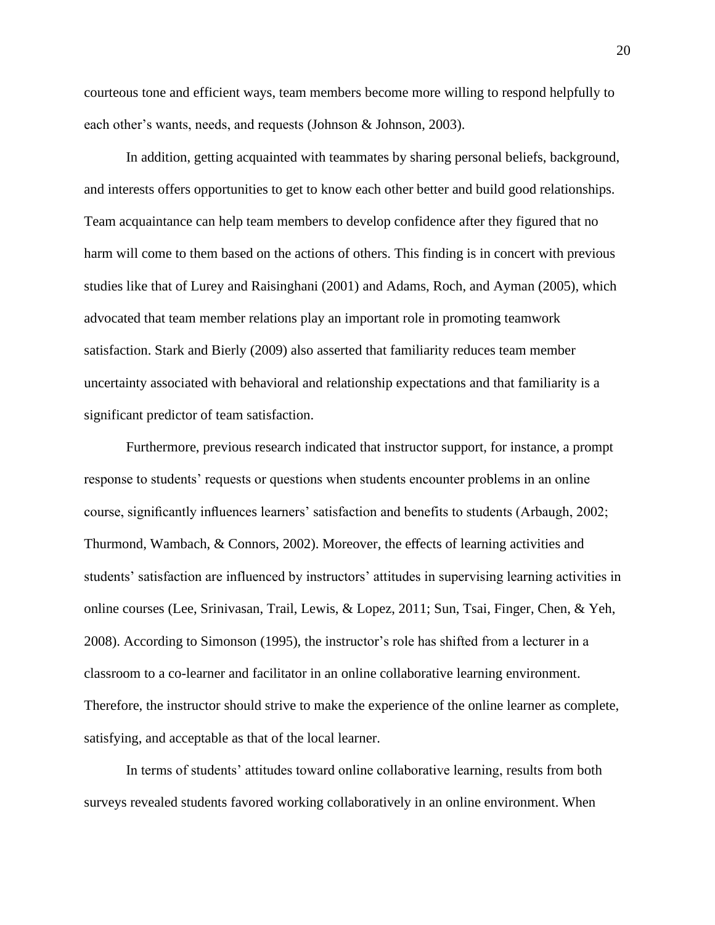courteous tone and efficient ways, team members become more willing to respond helpfully to each other's wants, needs, and requests (Johnson & Johnson, 2003).

In addition, getting acquainted with teammates by sharing personal beliefs, background, and interests offers opportunities to get to know each other better and build good relationships. Team acquaintance can help team members to develop confidence after they figured that no harm will come to them based on the actions of others. This finding is in concert with previous studies like that of Lurey and Raisinghani (2001) and Adams, Roch, and Ayman (2005), which advocated that team member relations play an important role in promoting teamwork satisfaction. Stark and Bierly (2009) also asserted that familiarity reduces team member uncertainty associated with behavioral and relationship expectations and that familiarity is a significant predictor of team satisfaction.

Furthermore, previous research indicated that instructor support, for instance, a prompt response to students' requests or questions when students encounter problems in an online course, significantly influences learners' satisfaction and benefits to students (Arbaugh, 2002; Thurmond, Wambach, & Connors, 2002). Moreover, the effects of learning activities and students' satisfaction are influenced by instructors' attitudes in supervising learning activities in online courses (Lee, Srinivasan, Trail, Lewis, & Lopez, 2011; Sun, Tsai, Finger, Chen, & Yeh, 2008). According to Simonson (1995), the instructor's role has shifted from a lecturer in a classroom to a co-learner and facilitator in an online collaborative learning environment. Therefore, the instructor should strive to make the experience of the online learner as complete, satisfying, and acceptable as that of the local learner.

In terms of students' attitudes toward online collaborative learning, results from both surveys revealed students favored working collaboratively in an online environment. When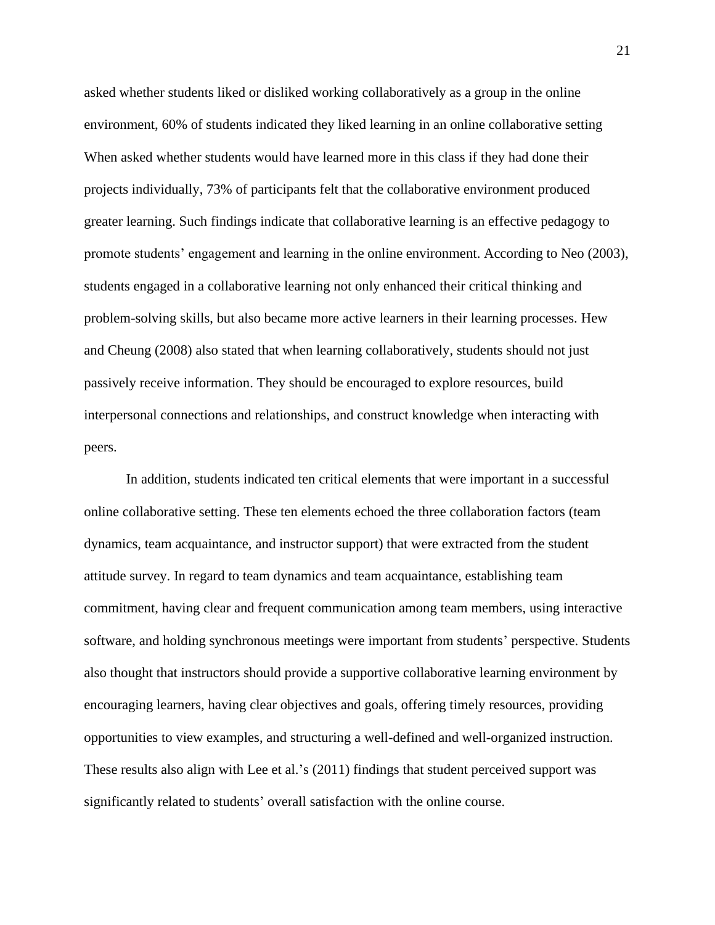asked whether students liked or disliked working collaboratively as a group in the online environment, 60% of students indicated they liked learning in an online collaborative setting When asked whether students would have learned more in this class if they had done their projects individually, 73% of participants felt that the collaborative environment produced greater learning. Such findings indicate that collaborative learning is an effective pedagogy to promote students' engagement and learning in the online environment. According to Neo (2003), students engaged in a collaborative learning not only enhanced their critical thinking and problem-solving skills, but also became more active learners in their learning processes. Hew and Cheung (2008) also stated that when learning collaboratively, students should not just passively receive information. They should be encouraged to explore resources, build interpersonal connections and relationships, and construct knowledge when interacting with peers.

In addition, students indicated ten critical elements that were important in a successful online collaborative setting. These ten elements echoed the three collaboration factors (team dynamics, team acquaintance, and instructor support) that were extracted from the student attitude survey. In regard to team dynamics and team acquaintance, establishing team commitment, having clear and frequent communication among team members, using interactive software, and holding synchronous meetings were important from students' perspective. Students also thought that instructors should provide a supportive collaborative learning environment by encouraging learners, having clear objectives and goals, offering timely resources, providing opportunities to view examples, and structuring a well-defined and well-organized instruction. These results also align with Lee et al.'s (2011) findings that student perceived support was significantly related to students' overall satisfaction with the online course.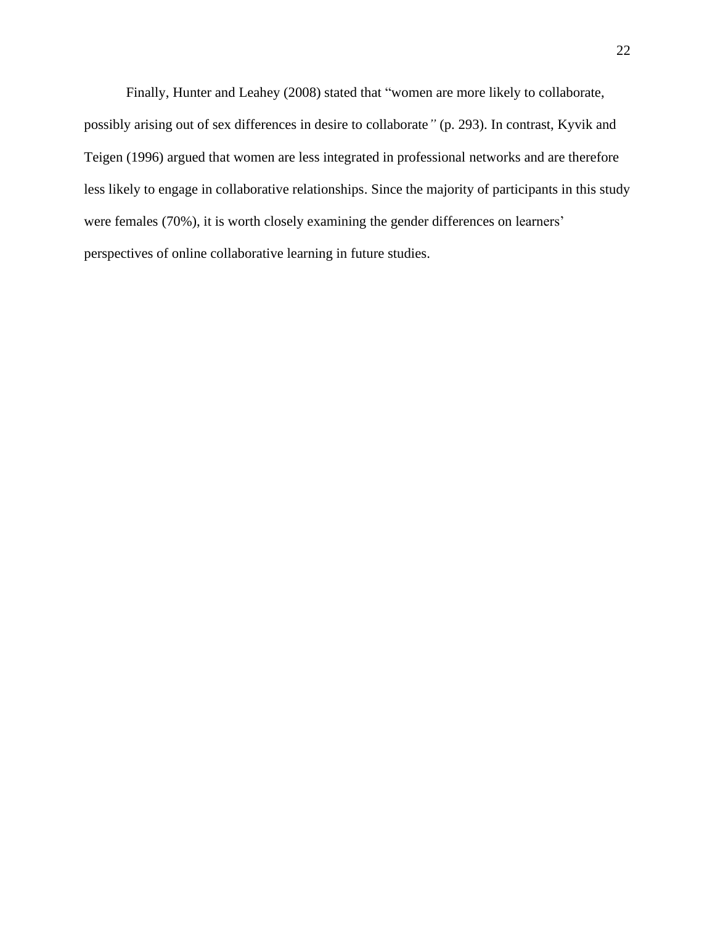Finally, Hunter and Leahey (2008) stated that "women are more likely to collaborate, possibly arising out of sex differences in desire to collaborate*"* (p. 293). In contrast, Kyvik and Teigen (1996) argued that women are less integrated in professional networks and are therefore less likely to engage in collaborative relationships. Since the majority of participants in this study were females (70%), it is worth closely examining the gender differences on learners' perspectives of online collaborative learning in future studies.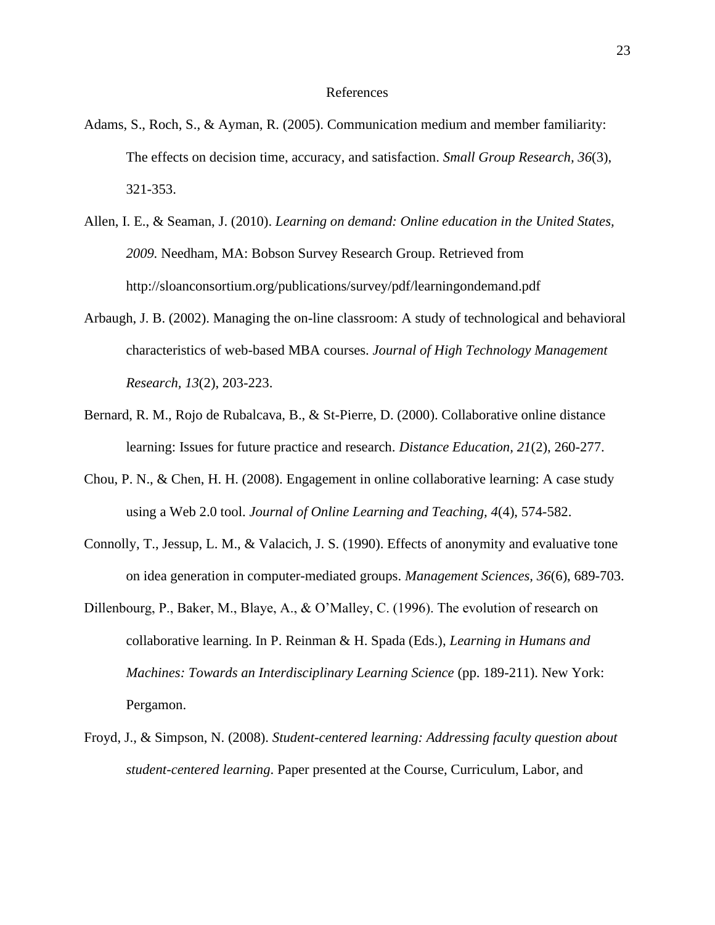#### References

- Adams, S., Roch, S., & Ayman, R. (2005). Communication medium and member familiarity: The effects on decision time, accuracy, and satisfaction. *Small Group Research, 36*(3), 321-353.
- Allen, I. E., & Seaman, J. (2010). *Learning on demand: Online education in the United States, 2009.* Needham, MA: Bobson Survey Research Group. Retrieved from http://sloanconsortium.org/publications/survey/pdf/learningondemand.pdf
- Arbaugh, J. B. (2002). Managing the on-line classroom: A study of technological and behavioral characteristics of web-based MBA courses. *Journal of High Technology Management Research, 13*(2), 203-223.
- Bernard, R. M., Rojo de Rubalcava, B., & St-Pierre, D. (2000). Collaborative online distance learning: Issues for future practice and research. *Distance Education, 21*(2), 260-277.
- Chou, P. N., & Chen, H. H. (2008). Engagement in online collaborative learning: A case study using a Web 2.0 tool. *Journal of Online Learning and Teaching, 4*(4), 574-582.
- Connolly, T., Jessup, L. M., & Valacich, J. S. (1990). Effects of anonymity and evaluative tone on idea generation in computer-mediated groups. *Management Sciences, 36*(6), 689-703.
- Dillenbourg, P., Baker, M., Blaye, A., & O'Malley, C. (1996). The evolution of research on collaborative learning. In P. Reinman & H. Spada (Eds.), *Learning in Humans and Machines: Towards an Interdisciplinary Learning Science* (pp. 189-211). New York: Pergamon.
- Froyd, J., & Simpson, N. (2008). *Student-centered learning: Addressing faculty question about student-centered learning*. Paper presented at the Course, Curriculum, Labor, and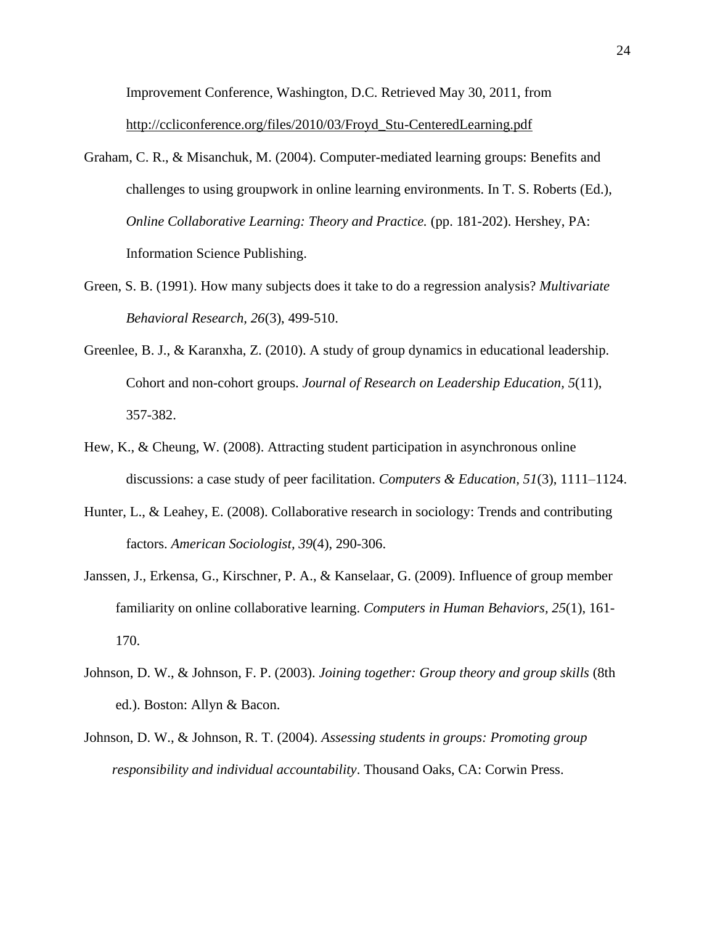Improvement Conference, Washington, D.C. Retrieved May 30, 2011, from [http://ccliconference.org/files/2010/03/Froyd\\_Stu-CenteredLearning.pdf](http://ccliconference.org/files/2010/03/Froyd_Stu-CenteredLearning.pdf)

- Graham, C. R., & Misanchuk, M. (2004). Computer-mediated learning groups: Benefits and challenges to using groupwork in online learning environments. In T. S. Roberts (Ed.), *Online Collaborative Learning: Theory and Practice.* (pp. 181-202). Hershey, PA: Information Science Publishing.
- Green, S. B. (1991). How many subjects does it take to do a regression analysis? *Multivariate Behavioral Research, 26*(3), 499-510.
- Greenlee, B. J., & Karanxha, Z. (2010). A study of group dynamics in educational leadership. Cohort and non-cohort groups. *Journal of Research on Leadership Education, 5*(11), 357-382.
- Hew, K., & Cheung, W. (2008). Attracting student participation in asynchronous online discussions: a case study of peer facilitation. *Computers & Education, 51*(3), 1111–1124.
- Hunter, L., & Leahey, E. (2008). Collaborative research in sociology: Trends and contributing factors. *American Sociologist, 39*(4), 290-306.
- Janssen, J., Erkensa, G., Kirschner, P. A., & Kanselaar, G. (2009). Influence of group member familiarity on online collaborative learning. *Computers in Human Behaviors, 25*(1), 161- 170.
- Johnson, D. W., & Johnson, F. P. (2003). *Joining together: Group theory and group skills* (8th ed.). Boston: Allyn & Bacon.
- Johnson, D. W., & Johnson, R. T. (2004). *Assessing students in groups: Promoting group responsibility and individual accountability*. Thousand Oaks, CA: Corwin Press.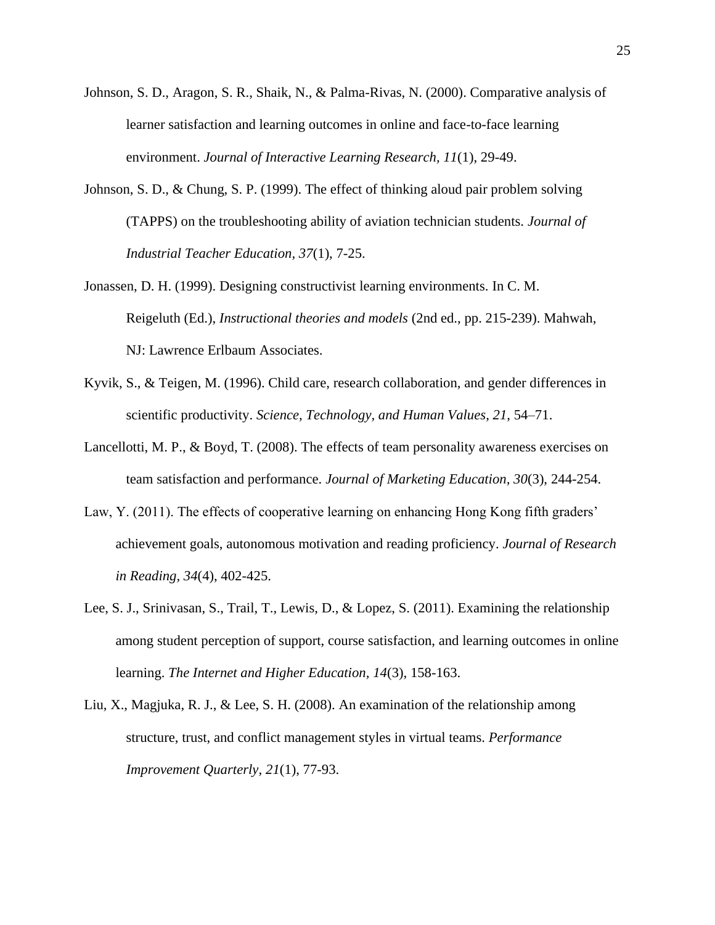- Johnson, S. D., Aragon, S. R., Shaik, N., & Palma-Rivas, N. (2000). Comparative analysis of learner satisfaction and learning outcomes in online and face-to-face learning environment. *Journal of Interactive Learning Research, 11*(1), 29-49.
- Johnson, S. D., & Chung, S. P. (1999). The effect of thinking aloud pair problem solving (TAPPS) on the troubleshooting ability of aviation technician students. *Journal of Industrial Teacher Education, 37*(1), 7-25.
- Jonassen, D. H. (1999). Designing constructivist learning environments. In C. M. Reigeluth (Ed.), *Instructional theories and models* (2nd ed., pp. 215-239). Mahwah, NJ: Lawrence Erlbaum Associates.
- Kyvik, S., & Teigen, M. (1996). Child care, research collaboration, and gender differences in scientific productivity. *Science, Technology, and Human Values*, *21*, 54–71.
- Lancellotti, M. P., & Boyd, T. (2008). The effects of team personality awareness exercises on team satisfaction and performance. *Journal of Marketing Education, 30*(3), 244-254.
- Law, Y. (2011). The effects of cooperative learning on enhancing Hong Kong fifth graders' achievement goals, autonomous motivation and reading proficiency. *Journal of Research in Reading, 34*(4), 402-425.
- Lee, S. J., Srinivasan, S., Trail, T., Lewis, D., & Lopez, S. (2011). Examining the relationship among student perception of support, course satisfaction, and learning outcomes in online learning. *The Internet and Higher Education, 14*(3), 158-163.
- Liu, X., Magjuka, R. J., & Lee, S. H. (2008). An examination of the relationship among structure, trust, and conflict management styles in virtual teams. *Performance Improvement Quarterly*, *21*(1), 77-93.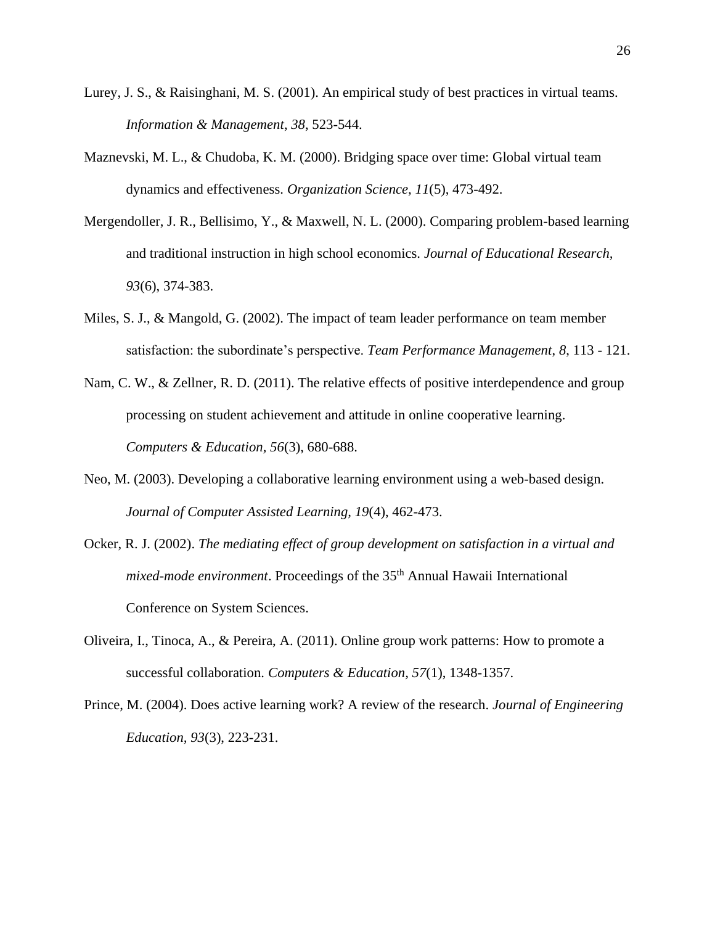- Lurey, J. S., & Raisinghani, M. S. (2001). An empirical study of best practices in virtual teams. *Information & Management*, *38*, 523-544.
- Maznevski, M. L., & Chudoba, K. M. (2000). Bridging space over time: Global virtual team dynamics and effectiveness. *Organization Science, 11*(5), 473-492.
- Mergendoller, J. R., Bellisimo, Y., & Maxwell, N. L. (2000). Comparing problem-based learning and traditional instruction in high school economics. *Journal of Educational Research, 93*(6), 374-383.
- Miles, S. J., & Mangold, G. (2002). The impact of team leader performance on team member satisfaction: the subordinate's perspective. *Team Performance Management*, *8*, 113 - 121.
- Nam, C. W., & Zellner, R. D. (2011). The relative effects of positive interdependence and group processing on student achievement and attitude in online cooperative learning. *Computers & Education, 56*(3), 680-688.
- Neo, M. (2003). Developing a collaborative learning environment using a web-based design. *Journal of Computer Assisted Learning, 19*(4), 462-473.
- Ocker, R. J. (2002). *The mediating effect of group development on satisfaction in a virtual and mixed-mode environment*. Proceedings of the 35th Annual Hawaii International Conference on System Sciences.
- Oliveira, I., Tinoca, A., & Pereira, A. (2011). Online group work patterns: How to promote a successful collaboration. *Computers & Education, 57*(1), 1348-1357.
- Prince, M. (2004). Does active learning work? A review of the research. *Journal of Engineering Education, 93*(3), 223-231.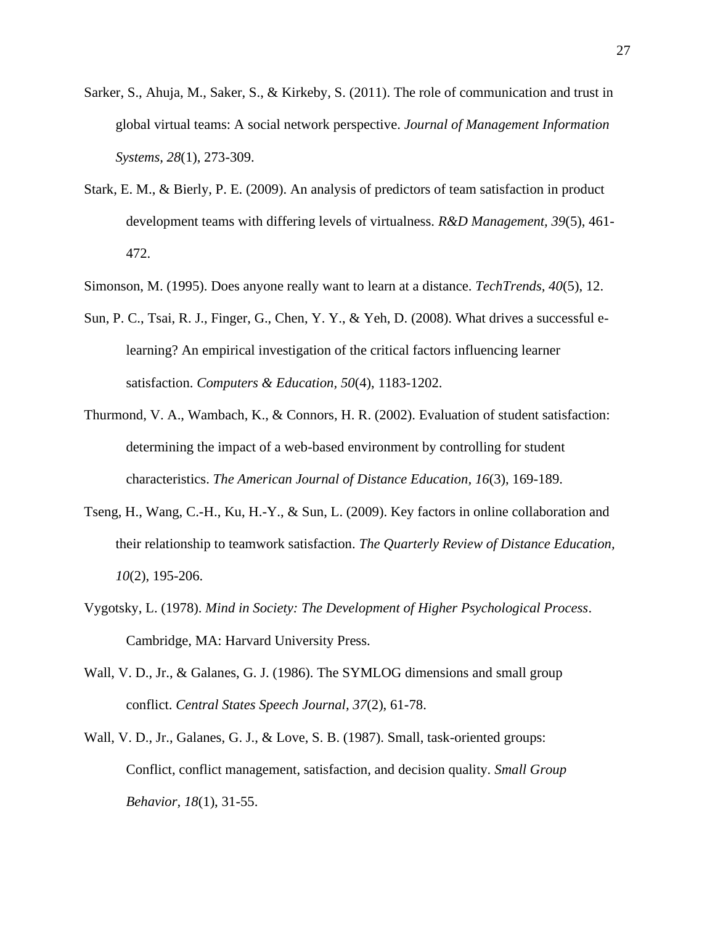- Sarker, S., Ahuja, M., Saker, S., & Kirkeby, S. (2011). The role of communication and trust in global virtual teams: A social network perspective. *Journal of Management Information Systems, 28*(1), 273-309.
- Stark, E. M., & Bierly, P. E. (2009). An analysis of predictors of team satisfaction in product development teams with differing levels of virtualness. *R&D Management, 39*(5), 461- 472.
- Simonson, M. (1995). Does anyone really want to learn at a distance. *TechTrends, 40*(5), 12.
- Sun, P. C., Tsai, R. J., Finger, G., Chen, Y. Y., & Yeh, D. (2008). What drives a successful elearning? An empirical investigation of the critical factors influencing learner satisfaction. *Computers & Education, 50*(4), 1183-1202.
- Thurmond, V. A., Wambach, K., & Connors, H. R. (2002). Evaluation of student satisfaction: determining the impact of a web-based environment by controlling for student characteristics. *The American Journal of Distance Education, 16*(3), 169-189.
- Tseng, H., Wang, C.-H., Ku, H.-Y., & Sun, L. (2009). Key factors in online collaboration and their relationship to teamwork satisfaction. *The Quarterly Review of Distance Education, 10*(2), 195-206.
- Vygotsky, L. (1978). *Mind in Society: The Development of Higher Psychological Process*. Cambridge, MA: Harvard University Press.
- Wall, V. D., Jr., & Galanes, G. J. (1986). The SYMLOG dimensions and small group conflict. *Central States Speech Journal, 37*(2), 61-78.
- Wall, V. D., Jr., Galanes, G. J., & Love, S. B. (1987). Small, task-oriented groups: Conflict, conflict management, satisfaction, and decision quality. *Small Group Behavior, 18*(1), 31-55.